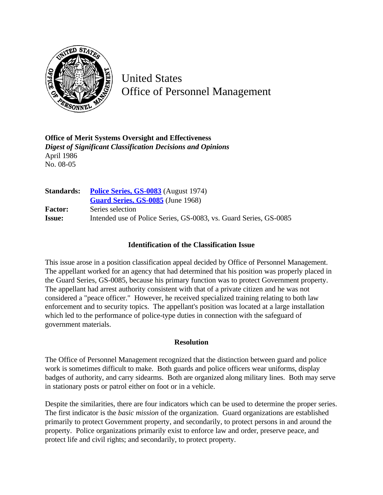

United States Office of Personnel Management

**Office of Merit Systems Oversight and Effectiveness** *Digest of Significant Classification Decisions and Opinions* April 1986 No. 08-05

| <b>Standards:</b> | <b>Police Series, GS-0083</b> (August 1974)                       |
|-------------------|-------------------------------------------------------------------|
|                   | Guard Series, GS-0085 (June 1968)                                 |
| <b>Factor:</b>    | Series selection                                                  |
| <b>Issue:</b>     | Intended use of Police Series, GS-0083, vs. Guard Series, GS-0085 |

## **Identification of the Classification Issue**

This issue arose in a position classification appeal decided by Office of Personnel Management. The appellant worked for an agency that had determined that his position was properly placed in the Guard Series, GS-0085, because his primary function was to protect Government property. The appellant had arrest authority consistent with that of a private citizen and he was not considered a "peace officer." However, he received specialized training relating to both law enforcement and to security topics. The appellant's position was located at a large installation which led to the performance of police-type duties in connection with the safeguard of government materials.

## **Resolution**

The Office of Personnel Management recognized that the distinction between guard and police work is sometimes difficult to make. Both guards and police officers wear uniforms, display badges of authority, and carry sidearms. Both are organized along military lines. Both may serve in stationary posts or patrol either on foot or in a vehicle.

Despite the similarities, there are four indicators which can be used to determine the proper series. The first indicator is the *basic mission* of the organization. Guard organizations are established primarily to protect Government property, and secondarily, to protect persons in and around the property. Police organizations primarily exist to enforce law and order, preserve peace, and protect life and civil rights; and secondarily, to protect property.